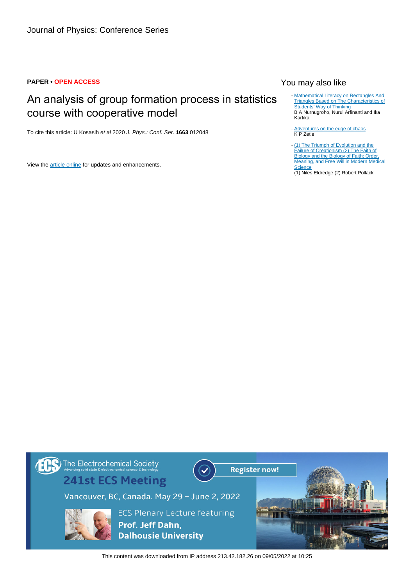### **PAPER • OPEN ACCESS**

# An analysis of group formation process in statistics course with cooperative model

To cite this article: U Kosasih et al 2020 J. Phys.: Conf. Ser. **1663** 012048

View the [article online](https://doi.org/10.1088/1742-6596/1663/1/012048) for updates and enhancements.

## You may also like

- [Mathematical Literacy on Rectangles And](/article/10.1088/1742-6596/1613/1/012047) [Triangles Based on The Characteristics of](/article/10.1088/1742-6596/1613/1/012047) [Students' Way of Thinking](/article/10.1088/1742-6596/1613/1/012047) B A Nurnugroho, Nurul Arfinanti and Ika Kartika
- [Adventures on the edge of chaos](/article/10.1088/1469-7688/4/2/R01) K P Zetie -
- [\(1\) The Triumph of Evolution and the](/article/10.1088/0963-6625/10/3/705) [Failure of Creationism \(2\) The Faith of](/article/10.1088/0963-6625/10/3/705) [Biology and the Biology of Faith: Order,](/article/10.1088/0963-6625/10/3/705) [Meaning, and Free Will in Modern Medical](/article/10.1088/0963-6625/10/3/705) **[Science](/article/10.1088/0963-6625/10/3/705)** -

(1) Niles Eldredge (2) Robert Pollack



This content was downloaded from IP address 213.42.182.26 on 09/05/2022 at 10:25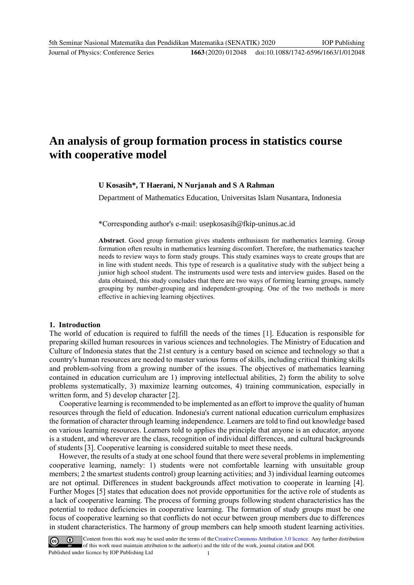# **An analysis of group formation process in statistics course with cooperative model**

#### **U Kosasih\*, T Haerani, N Nurjanah and S A Rahman**

Department of Mathematics Education, Universitas Islam Nusantara, Indonesia

\*Corresponding author's e-mail: usepkosasih@fkip-uninus.ac.id

**Abstract**. Good group formation gives students enthusiasm for mathematics learning. Group formation often results in mathematics learning discomfort. Therefore, the mathematics teacher needs to review ways to form study groups. This study examines ways to create groups that are in line with student needs. This type of research is a qualitative study with the subject being a junior high school student. The instruments used were tests and interview guides. Based on the data obtained, this study concludes that there are two ways of forming learning groups, namely grouping by number-grouping and independent-grouping. One of the two methods is more effective in achieving learning objectives.

#### **1. Introduction**

The world of education is required to fulfill the needs of the times [1]. Education is responsible for preparing skilled human resources in various sciences and technologies. The Ministry of Education and Culture of Indonesia states that the 21st century is a century based on science and technology so that a country's human resources are needed to master various forms of skills, including critical thinking skills and problem-solving from a growing number of the issues. The objectives of mathematics learning contained in education curriculum are 1) improving intellectual abilities, 2) form the ability to solve problems systematically, 3) maximize learning outcomes, 4) training communication, especially in written form, and 5) develop character [2].

Cooperative learning is recommended to be implemented as an effort to improve the quality of human resources through the field of education. Indonesia's current national education curriculum emphasizes the formation of character through learning independence. Learners are told to find out knowledge based on various learning resources. Learners told to applies the principle that anyone is an educator, anyone is a student, and wherever are the class, recognition of individual differences, and cultural backgrounds of students [3]. Cooperative learning is considered suitable to meet these needs.

However, the results of a study at one school found that there were several problems in implementing cooperative learning, namely: 1) students were not comfortable learning with unsuitable group members; 2 the smartest students control) group learning activities; and 3) individual learning outcomes are not optimal. Differences in student backgrounds affect motivation to cooperate in learning [4]. Further Moges [5] states that education does not provide opportunities for the active role of students as a lack of cooperative learning. The process of forming groups following student characteristics has the potential to reduce deficiencies in cooperative learning. The formation of study groups must be one focus of cooperative learning so that conflicts do not occur between group members due to differences in student characteristics. The harmony of group members can help smooth student learning activities.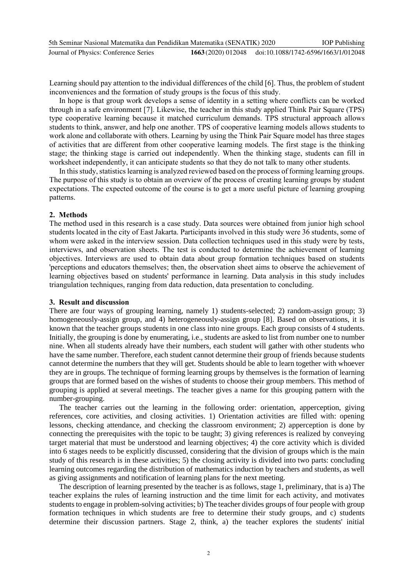Learning should pay attention to the individual differences of the child [6]. Thus, the problem of student inconveniences and the formation of study groups is the focus of this study.

In hope is that group work develops a sense of identity in a setting where conflicts can be worked through in a safe environment [7]. Likewise, the teacher in this study applied Think Pair Square (TPS) type cooperative learning because it matched curriculum demands. TPS structural approach allows students to think, answer, and help one another. TPS of cooperative learning models allows students to work alone and collaborate with others. Learning by using the Think Pair Square model has three stages of activities that are different from other cooperative learning models. The first stage is the thinking stage; the thinking stage is carried out independently. When the thinking stage, students can fill in worksheet independently, it can anticipate students so that they do not talk to many other students.

In this study, statistics learning is analyzed reviewed based on the process of forming learning groups. The purpose of this study is to obtain an overview of the process of creating learning groups by student expectations. The expected outcome of the course is to get a more useful picture of learning grouping patterns.

### **2. Methods**

The method used in this research is a case study. Data sources were obtained from junior high school students located in the city of East Jakarta. Participants involved in this study were 36 students, some of whom were asked in the interview session. Data collection techniques used in this study were by tests, interviews, and observation sheets. The test is conducted to determine the achievement of learning objectives. Interviews are used to obtain data about group formation techniques based on students 'perceptions and educators themselves; then, the observation sheet aims to observe the achievement of learning objectives based on students' performance in learning. Data analysis in this study includes triangulation techniques, ranging from data reduction, data presentation to concluding.

#### **3. Result and discussion**

There are four ways of grouping learning, namely 1) students-selected; 2) random-assign group; 3) homogeneously-assign group, and 4) heterogeneously-assign group [8]. Based on observations, it is known that the teacher groups students in one class into nine groups. Each group consists of 4 students. Initially, the grouping is done by enumerating, i.e., students are asked to list from number one to number nine. When all students already have their numbers, each student will gather with other students who have the same number. Therefore, each student cannot determine their group of friends because students cannot determine the numbers that they will get. Students should be able to learn together with whoever they are in groups. The technique of forming learning groups by themselves is the formation of learning groups that are formed based on the wishes of students to choose their group members. This method of grouping is applied at several meetings. The teacher gives a name for this grouping pattern with the number-grouping.

The teacher carries out the learning in the following order: orientation, apperception, giving references, core activities, and closing activities. 1) Orientation activities are filled with: opening lessons, checking attendance, and checking the classroom environment; 2) apperception is done by connecting the prerequisites with the topic to be taught; 3) giving references is realized by conveying target material that must be understood and learning objectives; 4) the core activity which is divided into 6 stages needs to be explicitly discussed, considering that the division of groups which is the main study of this research is in these activities; 5) the closing activity is divided into two parts: concluding learning outcomes regarding the distribution of mathematics induction by teachers and students, as well as giving assignments and notification of learning plans for the next meeting.

The description of learning presented by the teacher is as follows, stage 1, preliminary, that is a) The teacher explains the rules of learning instruction and the time limit for each activity, and motivates students to engage in problem-solving activities; b) The teacher divides groups of four people with group formation techniques in which students are free to determine their study groups, and c) students determine their discussion partners. Stage 2, think, a) the teacher explores the students' initial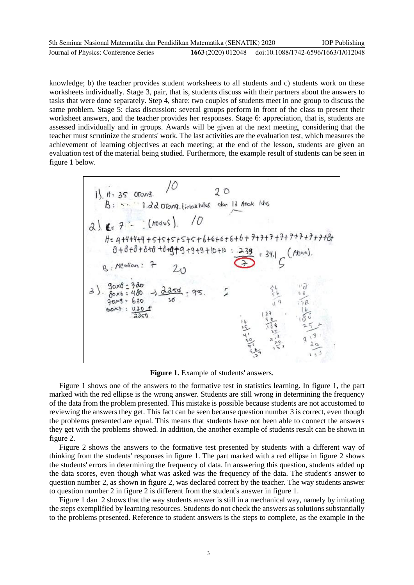| 5th Seminar Nasional Matematika dan Pendidikan Matematika (SENATIK) 2020 |                    | <b>IOP</b> Publishing               |
|--------------------------------------------------------------------------|--------------------|-------------------------------------|
| Journal of Physics: Conference Series                                    | 1663 (2020) 012048 | doi:10.1088/1742-6596/1663/1/012048 |

knowledge; b) the teacher provides student worksheets to all students and c) students work on these worksheets individually. Stage 3, pair, that is, students discuss with their partners about the answers to tasks that were done separately. Step 4, share: two couples of students meet in one group to discuss the same problem. Stage 5: class discussion: several groups perform in front of the class to present their worksheet answers, and the teacher provides her responses. Stage 6: appreciation, that is, students are assessed individually and in groups. Awards will be given at the next meeting, considering that the teacher must scrutinize the students' work. The last activities are the evaluation test, which measures the achievement of learning objectives at each meeting; at the end of the lesson, students are given an evaluation test of the material being studied. Furthermore, the example result of students can be seen in figure 1 below.



**Figure 1.** Example of students' answers.

Figure 1 shows one of the answers to the formative test in statistics learning. In figure 1, the part marked with the red ellipse is the wrong answer. Students are still wrong in determining the frequency of the data from the problem presented. This mistake is possible because students are not accustomed to reviewing the answers they get. This fact can be seen because question number 3 is correct, even though the problems presented are equal. This means that students have not been able to connect the answers they get with the problems showed. In addition, the another example of students result can be shown in figure 2.

Figure 2 shows the answers to the formative test presented by students with a different way of thinking from the students' responses in figure 1. The part marked with a red ellipse in figure 2 shows the students' errors in determining the frequency of data. In answering this question, students added up the data scores, even though what was asked was the frequency of the data. The student's answer to question number 2, as shown in figure 2, was declared correct by the teacher. The way students answer to question number 2 in figure 2 is different from the student's answer in figure 1.

Figure 1 dan 2 shows that the way students answer is still in a mechanical way, namely by imitating the steps exemplified by learning resources. Students do not check the answers as solutions substantially to the problems presented. Reference to student answers is the steps to complete, as the example in the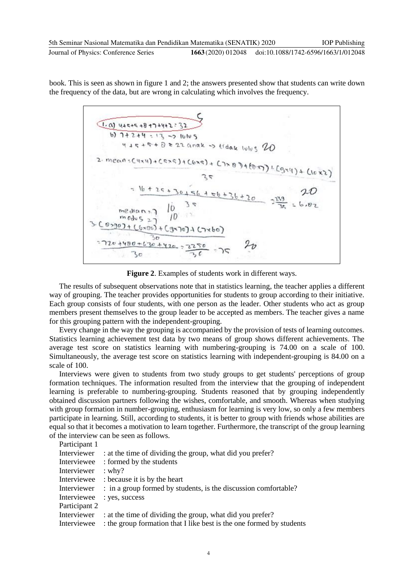book. This is seen as shown in figure 1 and 2; the answers presented show that students can write down the frequency of the data, but are wrong in calculating which involves the frequency.



**Figure 2**. Examples of students work in different ways.

The results of subsequent observations note that in statistics learning, the teacher applies a different way of grouping. The teacher provides opportunities for students to group according to their initiative. Each group consists of four students, with one person as the leader. Other students who act as group members present themselves to the group leader to be accepted as members. The teacher gives a name for this grouping pattern with the independent-grouping.

Every change in the way the grouping is accompanied by the provision of tests of learning outcomes. Statistics learning achievement test data by two means of group shows different achievements. The average test score on statistics learning with numbering-grouping is 74.00 on a scale of 100. Simultaneously, the average test score on statistics learning with independent-grouping is 84.00 on a scale of 100.

Interviews were given to students from two study groups to get students' perceptions of group formation techniques. The information resulted from the interview that the grouping of independent learning is preferable to numbering-grouping. Students reasoned that by grouping independently obtained discussion partners following the wishes, comfortable, and smooth. Whereas when studying with group formation in number-grouping, enthusiasm for learning is very low, so only a few members participate in learning. Still, according to students, it is better to group with friends whose abilities are equal so that it becomes a motivation to learn together. Furthermore, the transcript of the group learning of the interview can be seen as follows.

| Participant 1 |                                                                      |
|---------------|----------------------------------------------------------------------|
| Interviewer   | : at the time of dividing the group, what did you prefer?            |
| Interviewee   | : formed by the students                                             |
| Interviewer   | : $why$ ?                                                            |
| Interviewee   | : because it is by the heart                                         |
| Interviewer   | : in a group formed by students, is the discussion comfortable?      |
| Interviewee   | : yes, success                                                       |
| Participant 2 |                                                                      |
| Interviewer   | : at the time of dividing the group, what did you prefer?            |
| Interviewee   | : the group formation that I like best is the one formed by students |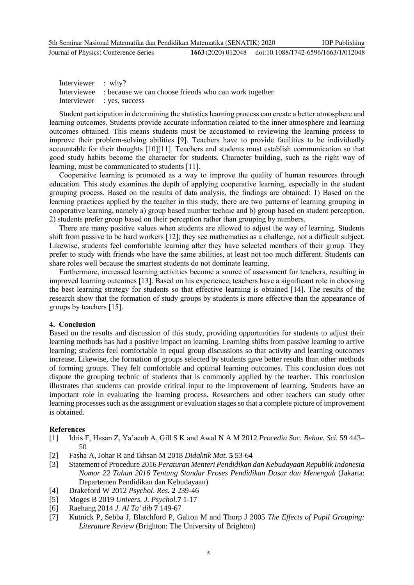| Interviewer : why? |                                                                   |
|--------------------|-------------------------------------------------------------------|
|                    | Interviewee : because we can choose friends who can work together |
|                    | Interviewer : yes, success                                        |

Student participation in determining the statistics learning process can create a better atmosphere and learning outcomes. Students provide accurate information related to the inner atmosphere and learning outcomes obtained. This means students must be accustomed to reviewing the learning process to improve their problem-solving abilities [9]. Teachers have to provide facilities to be individually accountable for their thoughts [10][11]. Teachers and students must establish communication so that good study habits become the character for students. Character building, such as the right way of learning, must be communicated to students [11].

Cooperative learning is promoted as a way to improve the quality of human resources through education. This study examines the depth of applying cooperative learning, especially in the student grouping process. Based on the results of data analysis, the findings are obtained: 1) Based on the learning practices applied by the teacher in this study, there are two patterns of learning grouping in cooperative learning, namely a) group based number technic and b) group based on student perception, 2) students prefer group based on their perception rather than grouping by numbers.

There are many positive values when students are allowed to adjust the way of learning. Students shift from passive to be hard workers [12]; they see mathematics as a challenge, not a difficult subject. Likewise, students feel comfortable learning after they have selected members of their group. They prefer to study with friends who have the same abilities, at least not too much different. Students can share roles well because the smartest students do not dominate learning.

Furthermore, increased learning activities become a source of assessment for teachers, resulting in improved learning outcomes [13]. Based on his experience, teachers have a significant role in choosing the best learning strategy for students so that effective learning is obtained [14]. The results of the research show that the formation of study groups by students is more effective than the appearance of groups by teachers [15].

#### **4. Conclusion**

Based on the results and discussion of this study, providing opportunities for students to adjust their learning methods has had a positive impact on learning. Learning shifts from passive learning to active learning; students feel comfortable in equal group discussions so that activity and learning outcomes increase. Likewise, the formation of groups selected by students gave better results than other methods of forming groups. They felt comfortable and optimal learning outcomes. This conclusion does not dispute the grouping technic of students that is commonly applied by the teacher. This conclusion illustrates that students can provide critical input to the improvement of learning. Students have an important role in evaluating the learning process. Researchers and other teachers can study other learning processes such as the assignment or evaluation stages so that a complete picture of improvement is obtained.

#### **References**

- [1] Idris F, Hasan Z, Ya'acob A, Gill S K and Awal N A M 2012 *Procedia Soc. Behav. Sci.* **59** 443– 50
- [2] Fasha A, Johar R and Ikhsan M 2018 *Didaktik Mat.* **5** 53-64
- [3] Statement of Procedure 2016 *Peraturan Menteri Pendidikan dan Kebudayaan Republik Indonesia Nomor 22 Tahun 2016 Tentang Standar Proses Pendidikan Dasar dan Menengah* (Jakarta: Departemen Pendidikan dan Kebudayaan)
- [4] Drakeford W 2012 *Psychol. Res.* **2** 239-46
- [5] Moges B 2019 *Univers. J. Psychol.***7** 1-17
- [6] Raehang 2014 *J. Al Ta' dib* **7** 149-67
- [7] Kutnick P, Sebba J, Blatchford P, Galton M and Thorp J 2005 *The Effects of Pupil Grouping: Literature Review* (Brighton: The University of Brighton)